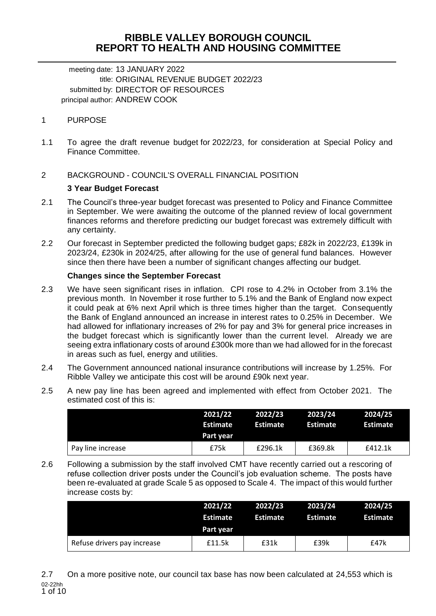# **RIBBLE VALLEY BOROUGH COUNCIL REPORT TO HEALTH AND HOUSING COMMITTEE**

meeting date: 13 JANUARY 2022 title: ORIGINAL REVENUE BUDGET 2022/23 submitted by: DIRECTOR OF RESOURCES principal author: ANDREW COOK

# 1 PURPOSE

1.1 To agree the draft revenue budget for 2022/23, for consideration at Special Policy and Finance Committee.

# 2 BACKGROUND - COUNCIL'S OVERALL FINANCIAL POSITION

### **3 Year Budget Forecast**

- 2.1 The Council's three-year budget forecast was presented to Policy and Finance Committee in September. We were awaiting the outcome of the planned review of local government finances reforms and therefore predicting our budget forecast was extremely difficult with any certainty.
- 2.2 Our forecast in September predicted the following budget gaps; £82k in 2022/23, £139k in 2023/24, £230k in 2024/25, after allowing for the use of general fund balances. However since then there have been a number of significant changes affecting our budget.

### **Changes since the September Forecast**

- 2.3 We have seen significant rises in inflation. CPI rose to 4.2% in October from 3.1% the previous month. In November it rose further to 5.1% and the Bank of England now expect it could peak at 6% next April which is three times higher than the target. Consequently the Bank of England announced an increase in interest rates to 0.25% in December. We had allowed for inflationary increases of 2% for pay and 3% for general price increases in the budget forecast which is significantly lower than the current level. Already we are seeing extra inflationary costs of around £300k more than we had allowed for in the forecast in areas such as fuel, energy and utilities.
- 2.4 The Government announced national insurance contributions will increase by 1.25%. For Ribble Valley we anticipate this cost will be around £90k next year.
- 2.5 A new pay line has been agreed and implemented with effect from October 2021. The estimated cost of this is:

|                   | 2021/22<br><b>Estimate</b><br>Part year | 2022/23<br><b>Estimate</b> | 2023/24<br>Estimate | 2024/25<br><b>Estimate</b> |
|-------------------|-----------------------------------------|----------------------------|---------------------|----------------------------|
| Pay line increase | £75k                                    | £296.1k                    | £369.8k             | £412.1k                    |

2.6 Following a submission by the staff involved CMT have recently carried out a rescoring of refuse collection driver posts under the Council's job evaluation scheme. The posts have been re-evaluated at grade Scale 5 as opposed to Scale 4. The impact of this would further increase costs by:

|                             | 2021/22<br><b>Estimate</b><br>Part year | 2022/23<br><b>Estimate</b> | 2023/24<br><b>Estimate</b> | 2024/25<br><b>Estimate</b> |
|-----------------------------|-----------------------------------------|----------------------------|----------------------------|----------------------------|
| Refuse drivers pay increase | £11.5k                                  | £31k                       | £39k                       | £47k                       |

02-22hh 1 of 10 2.7 On a more positive note, our council tax base has now been calculated at 24,553 which is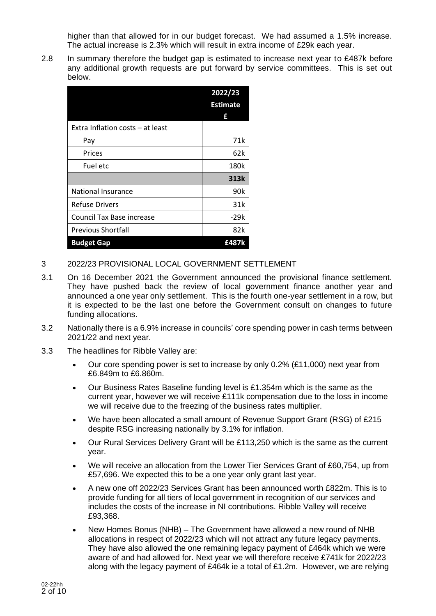higher than that allowed for in our budget forecast. We had assumed a 1.5% increase. The actual increase is 2.3% which will result in extra income of £29k each year.

2.8 In summary therefore the budget gap is estimated to increase next year to £487k before any additional growth requests are put forward by service committees. This is set out below.

|                                  | 2022/23         |
|----------------------------------|-----------------|
|                                  | <b>Estimate</b> |
|                                  | f               |
| Extra Inflation costs - at least |                 |
| Pay                              | 71k             |
| Prices                           | 62k             |
| Fuel etc                         | 180k            |
|                                  | 313k            |
| <b>National Insurance</b>        | 90k             |
| <b>Refuse Drivers</b>            | 31k             |
| <b>Council Tax Base increase</b> | $-29k$          |
| <b>Previous Shortfall</b>        | 82k             |
| <b>Budget Gap</b>                | £487k           |

- 3 2022/23 PROVISIONAL LOCAL GOVERNMENT SETTLEMENT
- 3.1 On 16 December 2021 the Government announced the provisional finance settlement. They have pushed back the review of local government finance another year and announced a one year only settlement. This is the fourth one-year settlement in a row, but it is expected to be the last one before the Government consult on changes to future funding allocations.
- 3.2 Nationally there is a 6.9% increase in councils' core spending power in cash terms between 2021/22 and next year.
- 3.3 The headlines for Ribble Valley are:
	- Our core spending power is set to increase by only 0.2% (£11,000) next year from £6.849m to £6.860m.
	- Our Business Rates Baseline funding level is £1.354m which is the same as the current year, however we will receive £111k compensation due to the loss in income we will receive due to the freezing of the business rates multiplier.
	- We have been allocated a small amount of Revenue Support Grant (RSG) of £215 despite RSG increasing nationally by 3.1% for inflation.
	- Our Rural Services Delivery Grant will be £113,250 which is the same as the current year.
	- We will receive an allocation from the Lower Tier Services Grant of £60,754, up from £57,696. We expected this to be a one year only grant last year.
	- A new one off 2022/23 Services Grant has been announced worth £822m. This is to provide funding for all tiers of local government in recognition of our services and includes the costs of the increase in NI contributions. Ribble Valley will receive £93,368.
	- New Homes Bonus (NHB) The Government have allowed a new round of NHB allocations in respect of 2022/23 which will not attract any future legacy payments. They have also allowed the one remaining legacy payment of £464k which we were aware of and had allowed for. Next year we will therefore receive £741k for 2022/23 along with the legacy payment of £464k ie a total of £1.2m. However, we are relying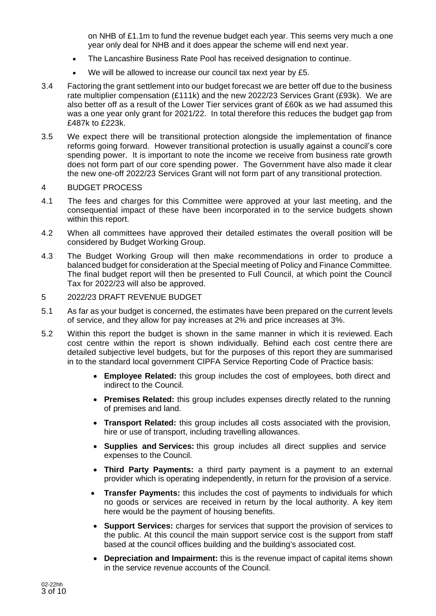on NHB of £1.1m to fund the revenue budget each year. This seems very much a one year only deal for NHB and it does appear the scheme will end next year.

- The Lancashire Business Rate Pool has received designation to continue.
- We will be allowed to increase our council tax next year by £5.
- 3.4 Factoring the grant settlement into our budget forecast we are better off due to the business rate multiplier compensation (£111k) and the new 2022/23 Services Grant (£93k). We are also better off as a result of the Lower Tier services grant of £60k as we had assumed this was a one year only grant for 2021/22. In total therefore this reduces the budget gap from £487k to £223k.
- 3.5 We expect there will be transitional protection alongside the implementation of finance reforms going forward. However transitional protection is usually against a council's core spending power. It is important to note the income we receive from business rate growth does not form part of our core spending power. The Government have also made it clear the new one-off 2022/23 Services Grant will not form part of any transitional protection.

#### 4 BUDGET PROCESS

- 4.1 The fees and charges for this Committee were approved at your last meeting, and the consequential impact of these have been incorporated in to the service budgets shown within this report.
- 4.2 When all committees have approved their detailed estimates the overall position will be considered by Budget Working Group.
- 4.3 The Budget Working Group will then make recommendations in order to produce a balanced budget for consideration at the Special meeting of Policy and Finance Committee. The final budget report will then be presented to Full Council, at which point the Council Tax for 2022/23 will also be approved.
- 5 2022/23 DRAFT REVENUE BUDGET
- 5.1 As far as your budget is concerned, the estimates have been prepared on the current levels of service, and they allow for pay increases at 2% and price increases at 3%.
- 5.2 Within this report the budget is shown in the same manner in which it is reviewed. Each cost centre within the report is shown individually. Behind each cost centre there are detailed subjective level budgets, but for the purposes of this report they are summarised in to the standard local government CIPFA Service Reporting Code of Practice basis:
	- **Employee Related:** this group includes the cost of employees, both direct and indirect to the Council.
	- **Premises Related:** this group includes expenses directly related to the running of premises and land.
	- **Transport Related:** this group includes all costs associated with the provision, hire or use of transport, including travelling allowances.
	- **Supplies and Services:** this group includes all direct supplies and service expenses to the Council.
	- **Third Party Payments:** a third party payment is a payment to an external provider which is operating independently, in return for the provision of a service.
	- **Transfer Payments:** this includes the cost of payments to individuals for which no goods or services are received in return by the local authority. A key item here would be the payment of housing benefits.
	- **Support Services:** charges for services that support the provision of services to the public. At this council the main support service cost is the support from staff based at the council offices building and the building's associated cost.
	- **Depreciation and Impairment:** this is the revenue impact of capital items shown in the service revenue accounts of the Council.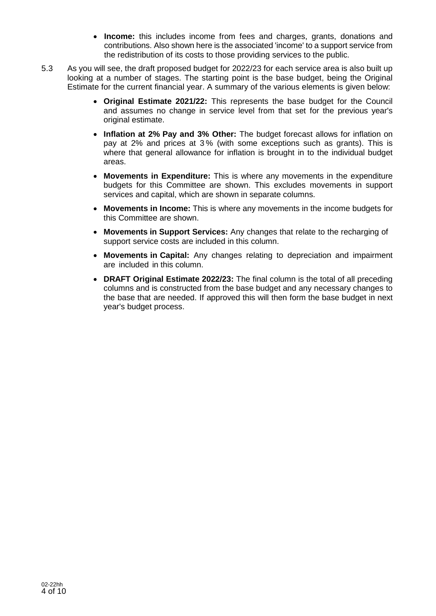- **Income:** this includes income from fees and charges, grants, donations and contributions. Also shown here is the associated 'income' to a support service from the redistribution of its costs to those providing services to the public.
- 5.3 As you will see, the draft proposed budget for 2022/23 for each service area is also built up looking at a number of stages. The starting point is the base budget, being the Original Estimate for the current financial year. A summary of the various elements is given below:
	- **Original Estimate 2021/22:** This represents the base budget for the Council and assumes no change in service level from that set for the previous year's original estimate.
	- **Inflation at 2% Pay and 3% Other:** The budget forecast allows for inflation on pay at 2% and prices at 3 % (with some exceptions such as grants). This is where that general allowance for inflation is brought in to the individual budget areas.
	- **Movements in Expenditure:** This is where any movements in the expenditure budgets for this Committee are shown. This excludes movements in support services and capital, which are shown in separate columns.
	- **Movements in Income:** This is where any movements in the income budgets for this Committee are shown.
	- **Movements in Support Services:** Any changes that relate to the recharging of support service costs are included in this column.
	- **Movements in Capital:** Any changes relating to depreciation and impairment are included in this column.
	- **DRAFT Original Estimate 2022/23:** The final column is the total of all preceding columns and is constructed from the base budget and any necessary changes to the base that are needed. If approved this will then form the base budget in next year's budget process.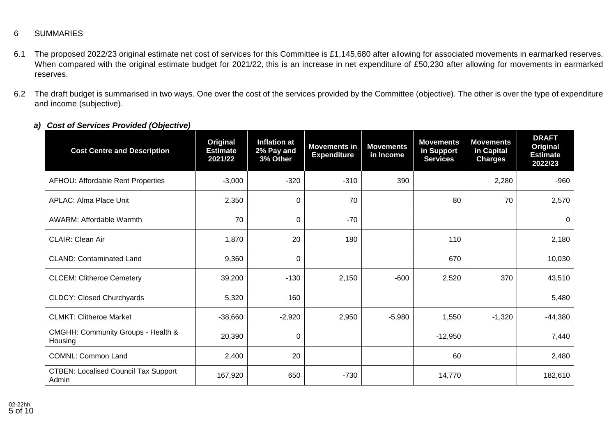# 6 SUMMARIES

- 6.1 The proposed 2022/23 original estimate net cost of services for this Committee is £1,145,680 after allowing for associated movements in earmarked reserves. When compared with the original estimate budget for 2021/22, this is an increase in net expenditure of £50,230 after allowing for movements in earmarked reserves.
- 6.2 The draft budget is summarised in two ways. One over the cost of the services provided by the Committee (objective). The other is over the type of expenditure and income (subjective).

| <b>Cost Centre and Description</b>                   | Original<br><b>Estimate</b><br>2021/22 | <b>Inflation at</b><br>2% Pay and<br>3% Other | <b>Movements in</b><br><b>Expenditure</b> | <b>Movements</b><br>in Income | <b>Movements</b><br>in Support<br><b>Services</b> | <b>Movements</b><br>in Capital<br><b>Charges</b> | <b>DRAFT</b><br>Original<br><b>Estimate</b><br>2022/23 |
|------------------------------------------------------|----------------------------------------|-----------------------------------------------|-------------------------------------------|-------------------------------|---------------------------------------------------|--------------------------------------------------|--------------------------------------------------------|
| AFHOU: Affordable Rent Properties                    | $-3,000$                               | $-320$                                        | $-310$                                    | 390                           |                                                   | 2,280                                            | $-960$                                                 |
| <b>APLAC: Alma Place Unit</b>                        | 2,350                                  | 0                                             | 70                                        |                               | 80                                                | 70                                               | 2,570                                                  |
| <b>AWARM: Affordable Warmth</b>                      | 70                                     | 0                                             | $-70$                                     |                               |                                                   |                                                  | 0                                                      |
| <b>CLAIR: Clean Air</b>                              | 1,870                                  | 20                                            | 180                                       |                               | 110                                               |                                                  | 2,180                                                  |
| <b>CLAND: Contaminated Land</b>                      | 9,360                                  | $\pmb{0}$                                     |                                           |                               | 670                                               |                                                  | 10,030                                                 |
| <b>CLCEM: Clitheroe Cemetery</b>                     | 39,200                                 | $-130$                                        | 2,150                                     | $-600$                        | 2,520                                             | 370                                              | 43,510                                                 |
| <b>CLDCY: Closed Churchyards</b>                     | 5,320                                  | 160                                           |                                           |                               |                                                   |                                                  | 5,480                                                  |
| <b>CLMKT: Clitheroe Market</b>                       | $-38,660$                              | $-2,920$                                      | 2,950                                     | $-5,980$                      | 1,550                                             | $-1,320$                                         | $-44,380$                                              |
| CMGHH: Community Groups - Health &<br>Housing        | 20,390                                 | 0                                             |                                           |                               | $-12,950$                                         |                                                  | 7,440                                                  |
| <b>COMNL: Common Land</b>                            | 2,400                                  | 20                                            |                                           |                               | 60                                                |                                                  | 2,480                                                  |
| <b>CTBEN: Localised Council Tax Support</b><br>Admin | 167,920                                | 650                                           | $-730$                                    |                               | 14,770                                            |                                                  | 182,610                                                |

*a) Cost of Services Provided (Objective)*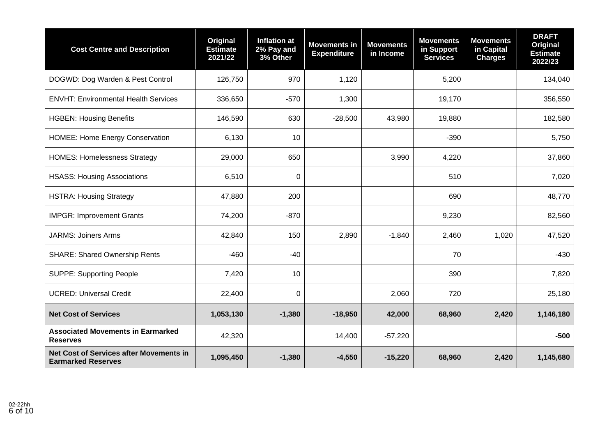| <b>Cost Centre and Description</b>                                          | Original<br><b>Estimate</b><br>2021/22 | <b>Inflation at</b><br>2% Pay and<br>3% Other | <b>Movements in</b><br><b>Expenditure</b> | <b>Movements</b><br>in Income | <b>Movements</b><br>in Support<br><b>Services</b> | <b>Movements</b><br>in Capital<br><b>Charges</b> | <b>DRAFT</b><br>Original<br><b>Estimate</b><br>2022/23 |
|-----------------------------------------------------------------------------|----------------------------------------|-----------------------------------------------|-------------------------------------------|-------------------------------|---------------------------------------------------|--------------------------------------------------|--------------------------------------------------------|
| DOGWD: Dog Warden & Pest Control                                            | 126,750                                | 970                                           | 1,120                                     |                               | 5,200                                             |                                                  | 134,040                                                |
| <b>ENVHT: Environmental Health Services</b>                                 | 336,650                                | $-570$                                        | 1,300                                     |                               | 19,170                                            |                                                  | 356,550                                                |
| <b>HGBEN: Housing Benefits</b>                                              | 146,590                                | 630                                           | $-28,500$                                 | 43,980                        | 19,880                                            |                                                  | 182,580                                                |
| <b>HOMEE: Home Energy Conservation</b>                                      | 6,130                                  | 10                                            |                                           |                               | $-390$                                            |                                                  | 5,750                                                  |
| <b>HOMES: Homelessness Strategy</b>                                         | 29,000                                 | 650                                           |                                           | 3,990                         | 4,220                                             |                                                  | 37,860                                                 |
| <b>HSASS: Housing Associations</b>                                          | 6,510                                  | $\Omega$                                      |                                           |                               | 510                                               |                                                  | 7,020                                                  |
| <b>HSTRA: Housing Strategy</b>                                              | 47,880                                 | 200                                           |                                           |                               | 690                                               |                                                  | 48,770                                                 |
| <b>IMPGR: Improvement Grants</b>                                            | 74,200                                 | $-870$                                        |                                           |                               | 9,230                                             |                                                  | 82,560                                                 |
| <b>JARMS: Joiners Arms</b>                                                  | 42,840                                 | 150                                           | 2,890                                     | $-1,840$                      | 2,460                                             | 1,020                                            | 47,520                                                 |
| <b>SHARE: Shared Ownership Rents</b>                                        | $-460$                                 | $-40$                                         |                                           |                               | 70                                                |                                                  | $-430$                                                 |
| <b>SUPPE: Supporting People</b>                                             | 7,420                                  | 10                                            |                                           |                               | 390                                               |                                                  | 7,820                                                  |
| <b>UCRED: Universal Credit</b>                                              | 22,400                                 | $\Omega$                                      |                                           | 2,060                         | 720                                               |                                                  | 25,180                                                 |
| <b>Net Cost of Services</b>                                                 | 1,053,130                              | $-1,380$                                      | $-18,950$                                 | 42,000                        | 68,960                                            | 2,420                                            | 1,146,180                                              |
| <b>Associated Movements in Earmarked</b><br><b>Reserves</b>                 | 42,320                                 |                                               | 14,400                                    | $-57,220$                     |                                                   |                                                  | $-500$                                                 |
| <b>Net Cost of Services after Movements in</b><br><b>Earmarked Reserves</b> | 1,095,450                              | $-1,380$                                      | $-4,550$                                  | $-15,220$                     | 68,960                                            | 2,420                                            | 1,145,680                                              |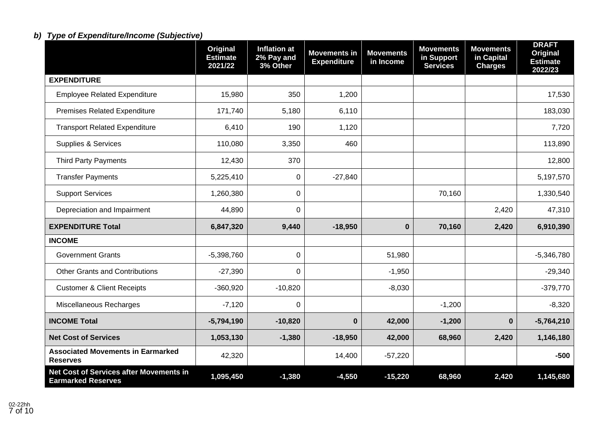# *b) Type of Expenditure/Income (Subjective)*

|                                                                      | <b>Original</b><br><b>Estimate</b><br>2021/22 | <b>Inflation at</b><br>2% Pay and<br>3% Other | <b>Movements in</b><br><b>Expenditure</b> | <b>Movements</b><br>in Income | <b>Movements</b><br>in Support<br><b>Services</b> | <b>Movements</b><br>in Capital<br><b>Charges</b> | <b>DRAFT</b><br><b>Original</b><br><b>Estimate</b><br>2022/23 |
|----------------------------------------------------------------------|-----------------------------------------------|-----------------------------------------------|-------------------------------------------|-------------------------------|---------------------------------------------------|--------------------------------------------------|---------------------------------------------------------------|
| <b>EXPENDITURE</b>                                                   |                                               |                                               |                                           |                               |                                                   |                                                  |                                                               |
| <b>Employee Related Expenditure</b>                                  | 15,980                                        | 350                                           | 1,200                                     |                               |                                                   |                                                  | 17,530                                                        |
| <b>Premises Related Expenditure</b>                                  | 171,740                                       | 5,180                                         | 6,110                                     |                               |                                                   |                                                  | 183,030                                                       |
| <b>Transport Related Expenditure</b>                                 | 6,410                                         | 190                                           | 1,120                                     |                               |                                                   |                                                  | 7,720                                                         |
| <b>Supplies &amp; Services</b>                                       | 110,080                                       | 3,350                                         | 460                                       |                               |                                                   |                                                  | 113,890                                                       |
| <b>Third Party Payments</b>                                          | 12,430                                        | 370                                           |                                           |                               |                                                   |                                                  | 12,800                                                        |
| <b>Transfer Payments</b>                                             | 5,225,410                                     | 0                                             | $-27,840$                                 |                               |                                                   |                                                  | 5,197,570                                                     |
| <b>Support Services</b>                                              | 1,260,380                                     | $\Omega$                                      |                                           |                               | 70,160                                            |                                                  | 1,330,540                                                     |
| Depreciation and Impairment                                          | 44,890                                        | $\Omega$                                      |                                           |                               |                                                   | 2,420                                            | 47,310                                                        |
| <b>EXPENDITURE Total</b>                                             | 6,847,320                                     | 9,440                                         | $-18,950$                                 | $\mathbf 0$                   | 70,160                                            | 2,420                                            | 6,910,390                                                     |
| <b>INCOME</b>                                                        |                                               |                                               |                                           |                               |                                                   |                                                  |                                                               |
| <b>Government Grants</b>                                             | $-5,398,760$                                  | $\overline{0}$                                |                                           | 51,980                        |                                                   |                                                  | $-5,346,780$                                                  |
| <b>Other Grants and Contributions</b>                                | $-27,390$                                     | $\Omega$                                      |                                           | $-1,950$                      |                                                   |                                                  | $-29,340$                                                     |
| <b>Customer &amp; Client Receipts</b>                                | $-360,920$                                    | $-10,820$                                     |                                           | $-8,030$                      |                                                   |                                                  | $-379,770$                                                    |
| Miscellaneous Recharges                                              | $-7,120$                                      | $\Omega$                                      |                                           |                               | $-1,200$                                          |                                                  | $-8,320$                                                      |
| <b>INCOME Total</b>                                                  | $-5,794,190$                                  | $-10,820$                                     | $\mathbf 0$                               | 42,000                        | $-1,200$                                          | $\mathbf{0}$                                     | $-5,764,210$                                                  |
| <b>Net Cost of Services</b>                                          | 1,053,130                                     | $-1,380$                                      | $-18,950$                                 | 42,000                        | 68,960                                            | 2,420                                            | 1,146,180                                                     |
| <b>Associated Movements in Earmarked</b><br><b>Reserves</b>          | 42,320                                        |                                               | 14,400                                    | $-57,220$                     |                                                   |                                                  | $-500$                                                        |
| Net Cost of Services after Movements in<br><b>Earmarked Reserves</b> | 1,095,450                                     | $-1,380$                                      | $-4,550$                                  | $-15,220$                     | 68,960                                            | 2,420                                            | 1,145,680                                                     |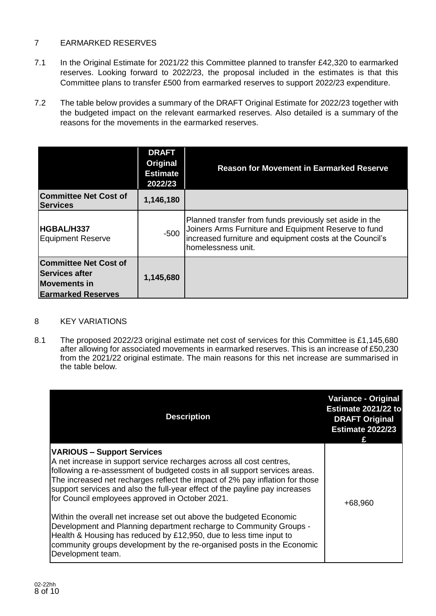# 7 EARMARKED RESERVES

- 7.1 In the Original Estimate for 2021/22 this Committee planned to transfer £42,320 to earmarked reserves. Looking forward to 2022/23, the proposal included in the estimates is that this Committee plans to transfer £500 from earmarked reserves to support 2022/23 expenditure.
- 7.2 The table below provides a summary of the DRAFT Original Estimate for 2022/23 together with the budgeted impact on the relevant earmarked reserves. Also detailed is a summary of the reasons for the movements in the earmarked reserves.

|                                                                                                           | <b>DRAFT</b><br><b>Original</b><br><b>Estimate</b><br>2022/23 | <b>Reason for Movement in Earmarked Reserve</b>                                                                                                                                                   |
|-----------------------------------------------------------------------------------------------------------|---------------------------------------------------------------|---------------------------------------------------------------------------------------------------------------------------------------------------------------------------------------------------|
| <b>Committee Net Cost of</b><br><b>Services</b>                                                           | 1,146,180                                                     |                                                                                                                                                                                                   |
| HGBAL/H337<br><b>Equipment Reserve</b>                                                                    | $-500$                                                        | Planned transfer from funds previously set aside in the<br>Joiners Arms Furniture and Equipment Reserve to fund<br>increased furniture and equipment costs at the Council's<br>homelessness unit. |
| <b>Committee Net Cost of</b><br><b>Services after</b><br><b>Movements in</b><br><b>Earmarked Reserves</b> | 1,145,680                                                     |                                                                                                                                                                                                   |

### 8 KEY VARIATIONS

8.1 The proposed 2022/23 original estimate net cost of services for this Committee is £1,145,680 after allowing for associated movements in earmarked reserves. This is an increase of £50,230 from the 2021/22 original estimate. The main reasons for this net increase are summarised in the table below.

| <b>Description</b>                                                                                                                                                                                                                                                                                                                                                                                        | <b>Variance - Original</b><br>Estimate 2021/22 to<br><b>DRAFT Original</b><br><b>Estimate 2022/23</b> |
|-----------------------------------------------------------------------------------------------------------------------------------------------------------------------------------------------------------------------------------------------------------------------------------------------------------------------------------------------------------------------------------------------------------|-------------------------------------------------------------------------------------------------------|
| <b>VARIOUS - Support Services</b><br>A net increase in support service recharges across all cost centres,<br>following a re-assessment of budgeted costs in all support services areas.<br>The increased net recharges reflect the impact of 2% pay inflation for those<br>support services and also the full-year effect of the payline pay increases<br>for Council employees approved in October 2021. | +68,960                                                                                               |
| Within the overall net increase set out above the budgeted Economic<br>Development and Planning department recharge to Community Groups -<br>Health & Housing has reduced by £12,950, due to less time input to<br>community groups development by the re-organised posts in the Economic<br>Development team.                                                                                            |                                                                                                       |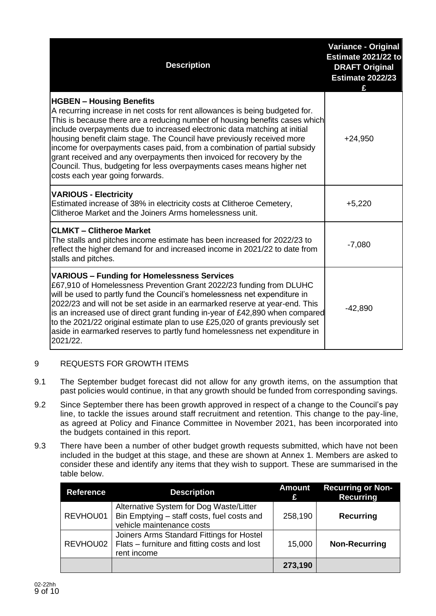| <b>Description</b>                                                                                                                                                                                                                                                                                                                                                                                                                                                                                                                                                                                                      | <b>Variance - Original</b><br>Estimate 2021/22 to<br><b>DRAFT Original</b><br><b>Estimate 2022/23</b> |
|-------------------------------------------------------------------------------------------------------------------------------------------------------------------------------------------------------------------------------------------------------------------------------------------------------------------------------------------------------------------------------------------------------------------------------------------------------------------------------------------------------------------------------------------------------------------------------------------------------------------------|-------------------------------------------------------------------------------------------------------|
| <b>HGBEN - Housing Benefits</b><br>A recurring increase in net costs for rent allowances is being budgeted for.<br>This is because there are a reducing number of housing benefits cases which<br>include overpayments due to increased electronic data matching at initial<br>housing benefit claim stage. The Council have previously received more<br>income for overpayments cases paid, from a combination of partial subsidy<br>grant received and any overpayments then invoiced for recovery by the<br>Council. Thus, budgeting for less overpayments cases means higher net<br>costs each year going forwards. | $+24,950$                                                                                             |
| <b>VARIOUS - Electricity</b><br>Estimated increase of 38% in electricity costs at Clitheroe Cemetery,<br>Clitheroe Market and the Joiners Arms homelessness unit.                                                                                                                                                                                                                                                                                                                                                                                                                                                       | $+5,220$                                                                                              |
| <b>CLMKT - Clitheroe Market</b><br>The stalls and pitches income estimate has been increased for 2022/23 to<br>reflect the higher demand for and increased income in 2021/22 to date from<br>stalls and pitches.                                                                                                                                                                                                                                                                                                                                                                                                        | $-7,080$                                                                                              |
| <b>VARIOUS - Funding for Homelessness Services</b><br>£67,910 of Homelessness Prevention Grant 2022/23 funding from DLUHC<br>will be used to partly fund the Council's homelessness net expenditure in<br>2022/23 and will not be set aside in an earmarked reserve at year-end. This<br>is an increased use of direct grant funding in-year of £42,890 when compared<br>to the 2021/22 original estimate plan to use £25,020 of grants previously set<br>aside in earmarked reserves to partly fund homelessness net expenditure in<br>2021/22.                                                                        | $-42,890$                                                                                             |

# 9 REQUESTS FOR GROWTH ITEMS

- 9.1 The September budget forecast did not allow for any growth items, on the assumption that past policies would continue, in that any growth should be funded from corresponding savings.
- 9.2 Since September there has been growth approved in respect of a change to the Council's pay line, to tackle the issues around staff recruitment and retention. This change to the pay-line, as agreed at Policy and Finance Committee in November 2021, has been incorporated into the budgets contained in this report.
- 9.3 There have been a number of other budget growth requests submitted, which have not been included in the budget at this stage, and these are shown at Annex 1. Members are asked to consider these and identify any items that they wish to support. These are summarised in the table below.

| <b>Reference</b> | <b>Description</b>                                                                                                 | <b>Amount</b><br>£ | <b>Recurring or Non-</b><br><b>Recurring</b> |
|------------------|--------------------------------------------------------------------------------------------------------------------|--------------------|----------------------------------------------|
| REVHOU01         | Alternative System for Dog Waste/Litter<br>Bin Emptying - staff costs, fuel costs and<br>vehicle maintenance costs | 258,190            | <b>Recurring</b>                             |
| REVHOU02         | Joiners Arms Standard Fittings for Hostel<br>Flats – furniture and fitting costs and lost<br>rent income           | 15,000             | <b>Non-Recurring</b>                         |
|                  |                                                                                                                    | 273,190            |                                              |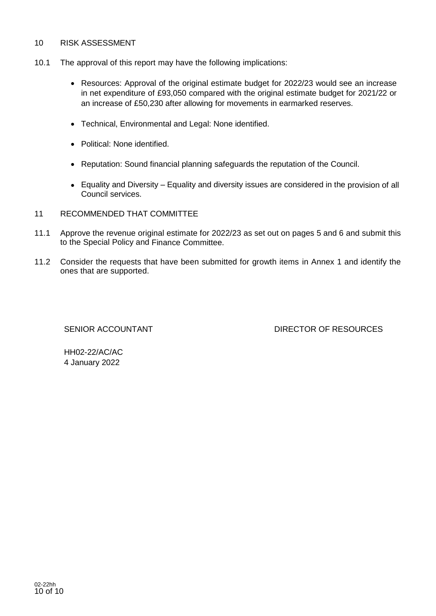#### 10 RISK ASSESSMENT

- 10.1 The approval of this report may have the following implications:
	- Resources: Approval of the original estimate budget for 2022/23 would see an increase in net expenditure of £93,050 compared with the original estimate budget for 2021/22 or an increase of £50,230 after allowing for movements in earmarked reserves.
	- Technical, Environmental and Legal: None identified.
	- Political: None identified.
	- Reputation: Sound financial planning safeguards the reputation of the Council.
	- Equality and Diversity Equality and diversity issues are considered in the provision of all Council services.
- 11 RECOMMENDED THAT COMMITTEE
- 11.1 Approve the revenue original estimate for 2022/23 as set out on pages 5 and 6 and submit this to the Special Policy and Finance Committee.
- 11.2 Consider the requests that have been submitted for growth items in Annex 1 and identify the ones that are supported.

SENIOR ACCOUNTANT **EXECUTE:** DIRECTOR OF RESOURCES

HH02-22/AC/AC 4 January 2022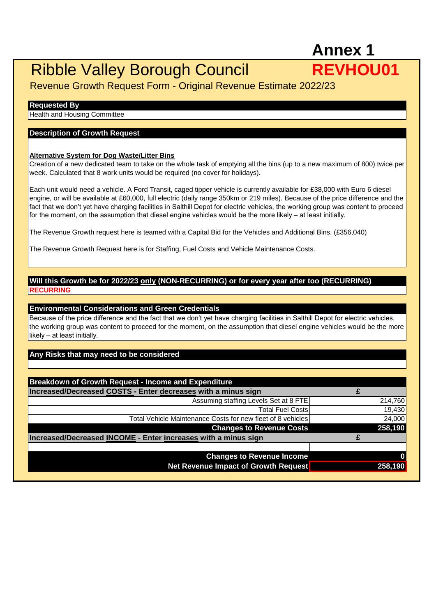# **Annex 1**

# Ribble Valley Borough Council **REVHOU01**

Revenue Growth Request Form - Original Revenue Estimate 2022/23

#### **Requested By**

Health and Housing Committee

#### **Description of Growth Request**

#### **Alternative System for Dog Waste/Litter Bins**

Creation of a new dedicated team to take on the whole task of emptying all the bins (up to a new maximum of 800) twice per week. Calculated that 8 work units would be required (no cover for holidays).

Each unit would need a vehicle. A Ford Transit, caged tipper vehicle is currently available for £38,000 with Euro 6 diesel engine, or will be available at £60,000, full electric (daily range 350km or 219 miles). Because of the price difference and the fact that we don't yet have charging facilities in Salthill Depot for electric vehicles, the working group was content to proceed for the moment, on the assumption that diesel engine vehicles would be the more likely – at least initially.

The Revenue Growth request here is teamed with a Capital Bid for the Vehicles and Additional Bins. (£356,040)

The Revenue Growth Request here is for Staffing, Fuel Costs and Vehicle Maintenance Costs.

### **Will this Growth be for 2022/23 only (NON-RECURRING) or for every year after too (RECURRING) RECURRING**

#### **Environmental Considerations and Green Credentials**

Because of the price difference and the fact that we don't yet have charging facilities in Salthill Depot for electric vehicles, the working group was content to proceed for the moment, on the assumption that diesel engine vehicles would be the more likely – at least initially.

### **Any Risks that may need to be considered**

| <b>Breakdown of Growth Request - Income and Expenditure</b>    |         |
|----------------------------------------------------------------|---------|
| Increased/Decreased COSTS - Enter decreases with a minus sign  |         |
| Assuming staffing Levels Set at 8 FTE                          | 214,760 |
| <b>Total Fuel Costs</b>                                        | 19,430  |
| Total Vehicle Maintenance Costs for new fleet of 8 vehicles    | 24,000  |
| <b>Changes to Revenue Costs</b>                                | 258,190 |
| Increased/Decreased INCOME - Enter increases with a minus sign |         |
|                                                                |         |
|                                                                |         |
| <b>Changes to Revenue Income</b>                               |         |